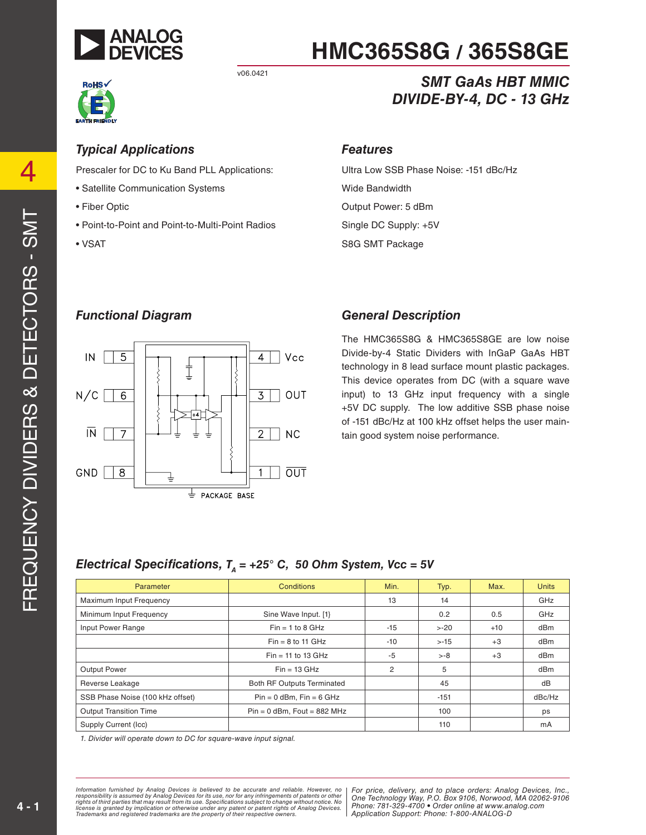



# **HMC365S8G / 365S8GE**

### *SMT GaAs HBT MMIC DIVIDE-BY-4, DC - 13 GHz*

#### *Typical Applications*

Prescaler for DC to Ku Band PLL Applications:

- Satellite Communication Systems
- Fiber Optic
- Point-to-Point and Point-to-Multi-Point Radios
- VSAT

#### *Features*

Ultra Low SSB Phase Noise: -151 dBc/Hz Wide Bandwidth Output Power: 5 dBm Single DC Supply: +5V S8G SMT Package

#### *Functional Diagram*



#### *General Description*

The HMC365S8G & HMC365S8GE are low noise Divide-by-4 Static Dividers with InGaP GaAs HBT technology in 8 lead surface mount plastic packages. This device operates from DC (with a square wave input) to 13 GHz input frequency with a single +5V DC supply. The low additive SSB phase noise of -151 dBc/Hz at 100 kHz offset helps the user maintain good system noise performance.

#### *Electrical Specifications,*  $T<sub>A</sub> = +25$ ° *C, 50 Ohm System, Vcc = 5V*

| Parameter                        | Conditions                        | Min.  | Typ.    | Max.  | <b>Units</b> |
|----------------------------------|-----------------------------------|-------|---------|-------|--------------|
| Maximum Input Frequency          |                                   | 13    | 14      |       | GHz          |
| Minimum Input Frequency          | Sine Wave Input. [1]              |       | 0.2     | 0.5   | GHz          |
| Input Power Range                | $Fin = 1$ to 8 GHz                | $-15$ | $> -20$ | $+10$ | dBm          |
|                                  | $Fin = 8$ to 11 GHz               | $-10$ | $> -15$ | $+3$  | dBm          |
|                                  | $Fin = 11$ to 13 GHz              | $-5$  | $> -8$  | $+3$  | dBm          |
| <b>Output Power</b>              | $Fin = 13 \text{ GHz}$            | 2     | 5       |       | dBm          |
| Reverse Leakage                  | <b>Both RF Outputs Terminated</b> |       | 45      |       | dB           |
| SSB Phase Noise (100 kHz offset) | $Pin = 0$ dBm, $Fin = 6$ GHz      |       | $-151$  |       | dBc/Hz       |
| <b>Output Transition Time</b>    | $Pin = 0$ dBm, Fout = 882 MHz     |       | 100     |       | ps           |
| Supply Current (Icc)             |                                   |       | 110     |       | mA           |

*1. Divider will operate down to DC for square-wave input signal.*

*fformation furnished by Analog Devices is believed to be accurate and reliable. However, no | For price, delivery, and to place orders: Analog Devices, Inc. Phone: 781-329-4700 • Order online at www.analog.com* license is granted by implication or otherwise under any patent or patent rights of Analog Devices. [[FIIONE: 761-329-4<br>Trademarks and registered trademarks are the property of their respective owners. Information furnished by Analog Devices is believed to be accurate and reliable. However, no<br>responsibility is assumed by Analog Devices for its use, nor for any infringements of patents or other<br>rights of third parties th

4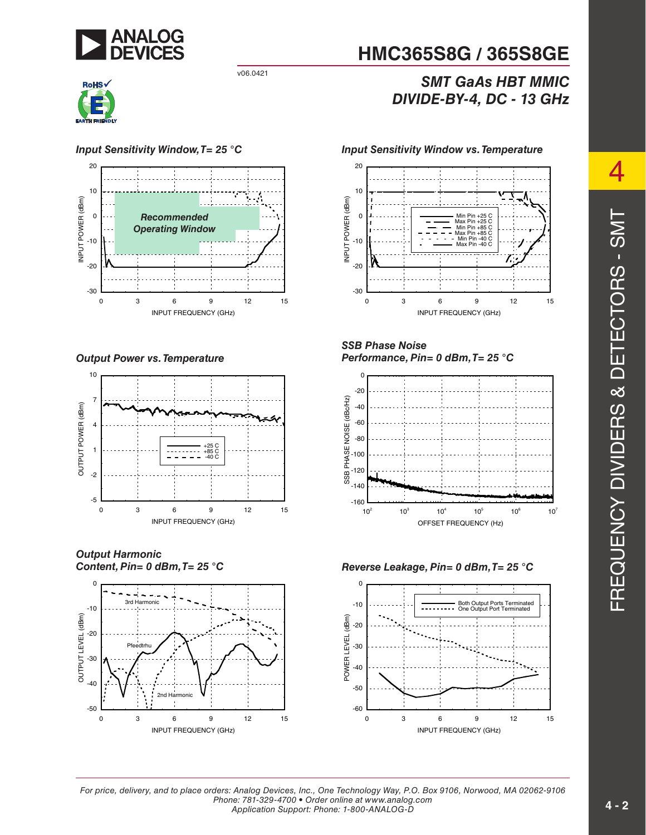





*Output Power vs. Temperature*



*Output Harmonic Content, Pin= 0 dBm, T= 25 °C*





**HMC365S8G / 365S8GE**

*SMT GaAs HBT MMIC* 

*DIVIDE-BY-4, DC - 13 GHz* 



#### *SSB Phase Noise Performance, Pin= 0 dBm, T= 25 °C*



#### *Reverse Leakage, Pin= 0 dBm, T= 25 °C*



4

*For price, delivery, and to place orders: Analog Devices, Inc., One Technology Way, P.O. Box 9106, Norwood, MA 02062-9106 Phone: 781-329-4700 • Order online at www.analog.com Application Support: Phone: 1-800-ANALOG-D*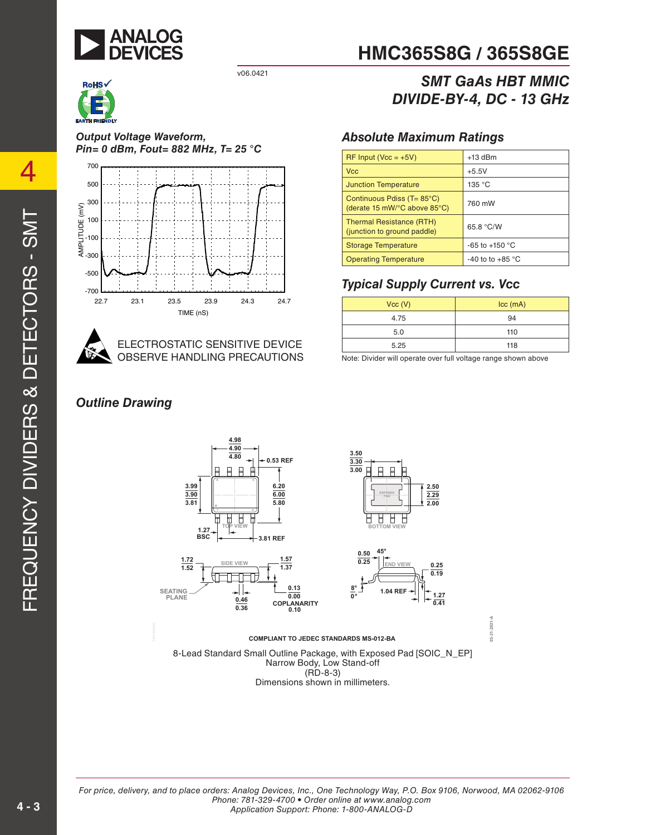



*Output Voltage Waveform, Pin= 0 dBm, Fout= 882 MHz, T= 25 °C*





ELECTROSTATIC SENSITIVE DEVICE OBSERVE HANDLING PRECAUTIONS

# **HMC365S8G / 365S8GE**

### *SMT GaAs HBT MMIC DIVIDE-BY-4, DC - 13 GHz*

#### *Absolute Maximum Ratings*

| $RF$ Input (Vcc = +5V)                                                         | $+13$ dBm                |
|--------------------------------------------------------------------------------|--------------------------|
| <b>Vcc</b>                                                                     | $+5.5V$                  |
| <b>Junction Temperature</b>                                                    | 135 °C                   |
| Continuous Pdiss (T= 85°C)<br>(derate 15 mW/ $\degree$ C above 85 $\degree$ C) | 760 mW                   |
| Thermal Resistance (RTH)<br>(junction to ground paddle)                        | 65.8 °C/W                |
| <b>Storage Temperature</b>                                                     | -65 to +150 $^{\circ}$ C |
| <b>Operating Temperature</b>                                                   | -40 to to $+85$ °C       |

#### *Typical Supply Current vs. Vcc*

| Vcc (V) | $\text{Icc}$ (mA) |
|---------|-------------------|
| 4.75    | 94                |
| 5.0     | 110               |
| 5.25    | 118               |

**03-31-2021-A**

 $2021 12.31$ 

Note: Divider will operate over full voltage range shown above

### *Outline Drawing*



(RD-8-3) Dimensions shown in millimeters.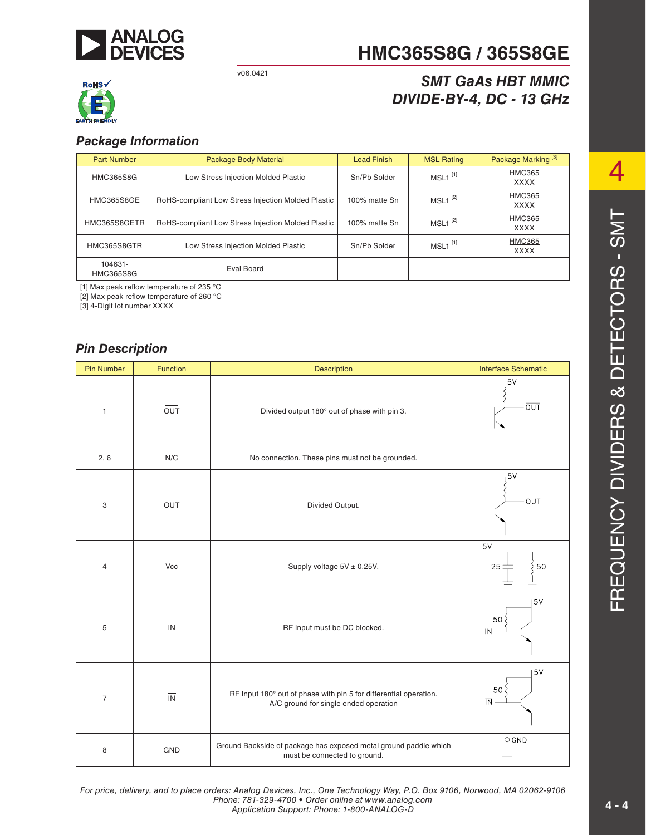

# **HMC365S8G / 365S8GE**

### *SMT GaAs HBT MMIC DIVIDE-BY-4, DC - 13 GHz*



#### *Package Information*

| <b>Part Number</b>          | Package Body Material                              | <b>Lead Finish</b> | <b>MSL Rating</b>     | Package Marking <sup>[3]</sup> |
|-----------------------------|----------------------------------------------------|--------------------|-----------------------|--------------------------------|
| <b>HMC365S8G</b>            | Low Stress Injection Molded Plastic                | Sn/Pb Solder       | $MSL1$ <sup>[1]</sup> | <b>HMC365</b><br><b>XXXX</b>   |
| HMC365S8GE                  | RoHS-compliant Low Stress Injection Molded Plastic | 100% matte Sn      | $MSL1$ <sup>[2]</sup> | <b>HMC365</b><br><b>XXXX</b>   |
| HMC365S8GETR                | RoHS-compliant Low Stress Injection Molded Plastic | 100% matte Sn      | $MSL1$ <sup>[2]</sup> | <b>HMC365</b><br><b>XXXX</b>   |
| HMC365S8GTR                 | Low Stress Injection Molded Plastic                | Sn/Pb Solder       | $MSL1$ <sup>[1]</sup> | <b>HMC365</b><br><b>XXXX</b>   |
| 104631-<br><b>HMC365S8G</b> | Eval Board                                         |                    |                       |                                |

[1] Max peak reflow temperature of 235 °C

[2] Max peak reflow temperature of 260 °C

[3] 4-Digit lot number XXXX

#### *Pin Description*

| <b>Pin Number</b> | Function                 | <b>Description</b>                                                                                         | <b>Interface Schematic</b>                                            |
|-------------------|--------------------------|------------------------------------------------------------------------------------------------------------|-----------------------------------------------------------------------|
| $\mathbf{1}$      | $\overline{OUT}$         | Divided output 180° out of phase with pin 3.                                                               | $5V$<br>$\overline{OUT}$                                              |
| 2, 6              | N/C                      | No connection. These pins must not be grounded.                                                            |                                                                       |
| 3                 | OUT                      | Divided Output.                                                                                            | 5V<br>OUT                                                             |
| 4                 | Vcc                      | Supply voltage $5V \pm 0.25V$ .                                                                            | $5\textrm{V}$<br>25:<br>50                                            |
| 5                 | IN                       | RF Input must be DC blocked.                                                                               | 5V<br>50<br>IN                                                        |
| $\overline{7}$    | $\overline{\mathsf{IN}}$ | RF Input 180° out of phase with pin 5 for differential operation.<br>A/C ground for single ended operation | 5V<br>50 <sup>2</sup><br>$\overline{\mathsf{I}}\overline{\mathsf{N}}$ |
| 8                 | GND                      | Ground Backside of package has exposed metal ground paddle which<br>must be connected to ground.           | $Q$ GND<br>$=$                                                        |

4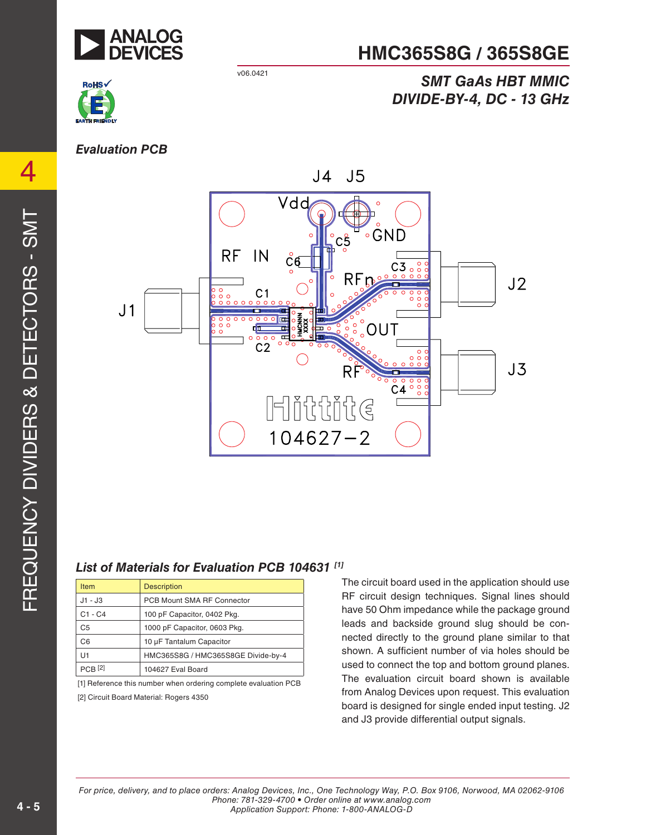

## **HMC365S8G / 365S8GE**

*SMT GaAs HBT MMIC* 

*DIVIDE-BY-4, DC - 13 GHz* 

v06.0421



4

#### *Evaluation PCB*



#### *List of Materials for Evaluation PCB 104631 [1]*

| <b>Item</b>        | <b>Description</b>                 |
|--------------------|------------------------------------|
| J1 - J3            | PCB Mount SMA RF Connector         |
| $C1 - C4$          | 100 pF Capacitor, 0402 Pkg.        |
| C5                 | 1000 pF Capacitor, 0603 Pkg.       |
| C <sub>6</sub>     | 10 µF Tantalum Capacitor           |
| U1                 | HMC365S8G / HMC365S8GE Divide-by-4 |
| PCB <sup>[2]</sup> | 104627 Eval Board                  |

[1] Reference this number when ordering complete evaluation PCB [2] Circuit Board Material: Rogers 4350

The circuit board used in the application should use RF circuit design techniques. Signal lines should have 50 Ohm impedance while the package ground leads and backside ground slug should be connected directly to the ground plane similar to that shown. A sufficient number of via holes should be used to connect the top and bottom ground planes. The evaluation circuit board shown is available from Analog Devices upon request. This evaluation board is designed for single ended input testing. J2 and J3 provide differential output signals.

*For price, delivery, and to place orders: Analog Devices, Inc., One Technology Way, P.O. Box 9106, Norwood, MA 02062-9106 Phone: 781-329-4700 • Order online at www.analog.com Application Support: Phone: 1-800-ANALOG-D*